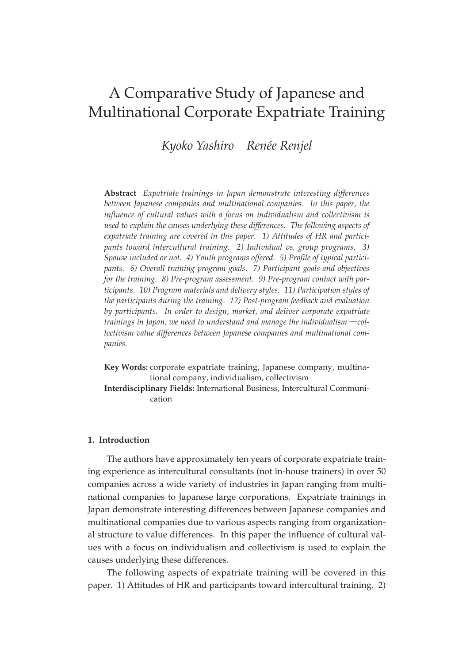# A Comparative Study of Japanese and Multinational Corporate Expatriate Training

*Kyoko Yashiro Renée Renjel*

**Abstract** *Expatriate trainings in Japan demonstrate interesting differences between Japanese companies and multinational companies. In this paper, the influence of cultural values with a focus on individualism and collectivism is used to explain the causes underlying these differences. The following aspects of expatriate training are covered in this paper. 1) Attitudes of HR and participants toward intercultural training. 2) Individual vs. group programs. 3) Spouse included or not. 4) Youth programs offered. 5) Profile of typical participants. 6) Overall training program goals. 7) Participant goals and objectives for the training. 8) Pre-program assessment. 9) Pre-program contact with participants. 10) Program materials and delivery styles. 11) Participation styles of the participants during the training. 12) Post-program feedback and evaluation by participants. In order to design, market, and deliver corporate expatriate trainings in Japan, we need to understand and manage the individualism*―*collectivism value differences between Japanese companies and multinational companies.*

**Key Words:** corporate expatriate training, Japanese company, multinational company, individualism, collectivism

**Interdisciplinary Fields:** International Business, Intercultural Communication

#### **1. Introduction**

The authors have approximately ten years of corporate expatriate training experience as intercultural consultants (not in-house trainers) in over 50 companies across a wide variety of industries in Japan ranging from multinational companies to Japanese large corporations. Expatriate trainings in Japan demonstrate interesting differences between Japanese companies and multinational companies due to various aspects ranging from organizational structure to value differences. In this paper the influence of cultural values with a focus on individualism and collectivism is used to explain the causes underlying these differences.

The following aspects of expatriate training will be covered in this paper. 1) Attitudes of HR and participants toward intercultural training. 2)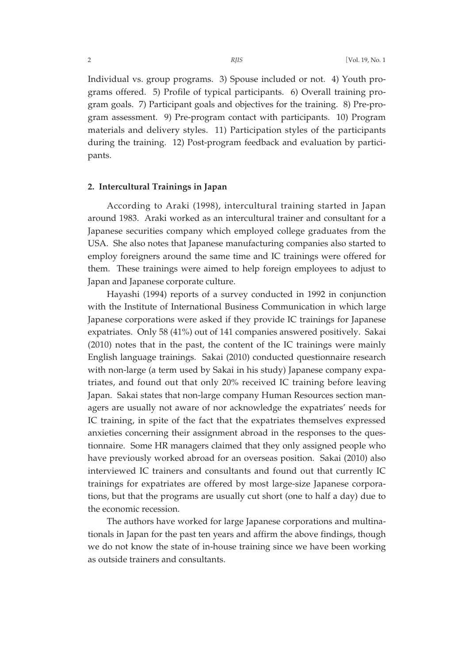Individual vs. group programs. 3) Spouse included or not. 4) Youth programs offered. 5) Profile of typical participants. 6) Overall training program goals. 7) Participant goals and objectives for the training. 8) Pre-program assessment. 9) Pre-program contact with participants. 10) Program materials and delivery styles. 11) Participation styles of the participants during the training. 12) Post-program feedback and evaluation by participants.

#### **2. Intercultural Trainings in Japan**

According to Araki (1998), intercultural training started in Japan around 1983. Araki worked as an intercultural trainer and consultant for a Japanese securities company which employed college graduates from the USA. She also notes that Japanese manufacturing companies also started to employ foreigners around the same time and IC trainings were offered for them. These trainings were aimed to help foreign employees to adjust to Japan and Japanese corporate culture.

Hayashi (1994) reports of a survey conducted in 1992 in conjunction with the Institute of International Business Communication in which large Japanese corporations were asked if they provide IC trainings for Japanese expatriates. Only 58 (41%) out of 141 companies answered positively. Sakai (2010) notes that in the past, the content of the IC trainings were mainly English language trainings. Sakai (2010) conducted questionnaire research with non-large (a term used by Sakai in his study) Japanese company expatriates, and found out that only 20% received IC training before leaving Japan. Sakai states that non-large company Human Resources section managers are usually not aware of nor acknowledge the expatriates' needs for IC training, in spite of the fact that the expatriates themselves expressed anxieties concerning their assignment abroad in the responses to the questionnaire. Some HR managers claimed that they only assigned people who have previously worked abroad for an overseas position. Sakai (2010) also interviewed IC trainers and consultants and found out that currently IC trainings for expatriates are offered by most large-size Japanese corporations, but that the programs are usually cut short (one to half a day) due to the economic recession.

The authors have worked for large Japanese corporations and multinationals in Japan for the past ten years and affirm the above findings, though we do not know the state of in-house training since we have been working as outside trainers and consultants.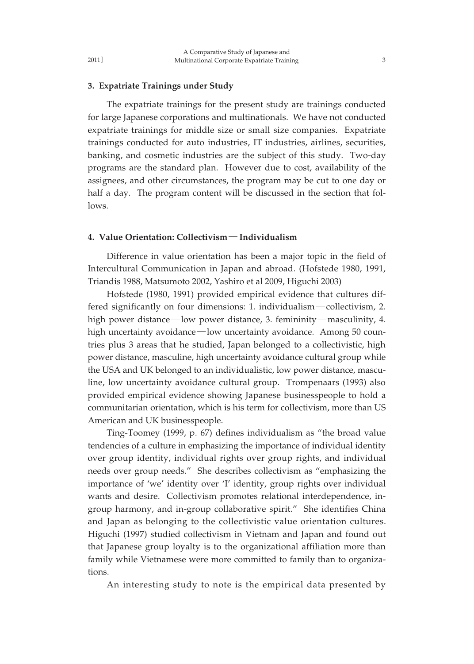#### **3. Expatriate Trainings under Study**

The expatriate trainings for the present study are trainings conducted for large Japanese corporations and multinationals. We have not conducted expatriate trainings for middle size or small size companies. Expatriate trainings conducted for auto industries, IT industries, airlines, securities, banking, and cosmetic industries are the subject of this study. Two-day programs are the standard plan. However due to cost, availability of the assignees, and other circumstances, the program may be cut to one day or half a day. The program content will be discussed in the section that follows.

#### **4. Value Orientation: Collectivism**― **Individualism**

Difference in value orientation has been a major topic in the field of Intercultural Communication in Japan and abroad. (Hofstede 1980, 1991, Triandis 1988, Matsumoto 2002, Yashiro et al 2009, Higuchi 2003)

Hofstede (1980, 1991) provided empirical evidence that cultures differed significantly on four dimensions: 1. individualism―collectivism, 2. high power distance—low power distance, 3. femininity—masculinity, 4. high uncertainty avoidance—low uncertainty avoidance. Among 50 countries plus 3 areas that he studied, Japan belonged to a collectivistic, high power distance, masculine, high uncertainty avoidance cultural group while the USA and UK belonged to an individualistic, low power distance, masculine, low uncertainty avoidance cultural group. Trompenaars (1993) also provided empirical evidence showing Japanese businesspeople to hold a communitarian orientation, which is his term for collectivism, more than US American and UK businesspeople.

Ting-Toomey (1999, p. 67) defines individualism as "the broad value tendencies of a culture in emphasizing the importance of individual identity over group identity, individual rights over group rights, and individual needs over group needs." She describes collectivism as "emphasizing the importance of 'we' identity over 'I' identity, group rights over individual wants and desire. Collectivism promotes relational interdependence, ingroup harmony, and in-group collaborative spirit." She identifies China and Japan as belonging to the collectivistic value orientation cultures. Higuchi (1997) studied collectivism in Vietnam and Japan and found out that Japanese group loyalty is to the organizational affiliation more than family while Vietnamese were more committed to family than to organizations.

An interesting study to note is the empirical data presented by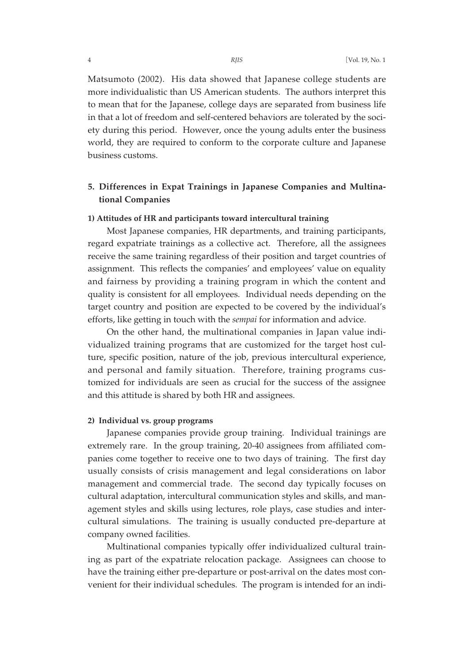Matsumoto (2002). His data showed that Japanese college students are more individualistic than US American students. The authors interpret this to mean that for the Japanese, college days are separated from business life in that a lot of freedom and self-centered behaviors are tolerated by the society during this period. However, once the young adults enter the business world, they are required to conform to the corporate culture and Japanese business customs.

## **5. Differences in Expat Trainings in Japanese Companies and Multinational Companies**

#### **1) Attitudes of HR and participants toward intercultural training**

Most Japanese companies, HR departments, and training participants, regard expatriate trainings as a collective act. Therefore, all the assignees receive the same training regardless of their position and target countries of assignment. This reflects the companies' and employees' value on equality and fairness by providing a training program in which the content and quality is consistent for all employees. Individual needs depending on the target country and position are expected to be covered by the individual's efforts, like getting in touch with the *sempai* for information and advice.

On the other hand, the multinational companies in Japan value individualized training programs that are customized for the target host culture, specific position, nature of the job, previous intercultural experience, and personal and family situation. Therefore, training programs customized for individuals are seen as crucial for the success of the assignee and this attitude is shared by both HR and assignees.

### **2) Individual vs. group programs**

Japanese companies provide group training. Individual trainings are extremely rare. In the group training, 20-40 assignees from affiliated companies come together to receive one to two days of training. The first day usually consists of crisis management and legal considerations on labor management and commercial trade. The second day typically focuses on cultural adaptation, intercultural communication styles and skills, and management styles and skills using lectures, role plays, case studies and intercultural simulations. The training is usually conducted pre-departure at company owned facilities.

Multinational companies typically offer individualized cultural training as part of the expatriate relocation package. Assignees can choose to have the training either pre-departure or post-arrival on the dates most convenient for their individual schedules. The program is intended for an indi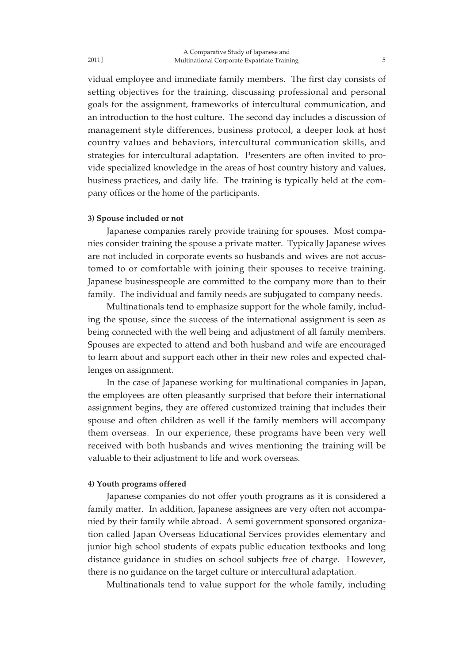vidual employee and immediate family members. The first day consists of setting objectives for the training, discussing professional and personal goals for the assignment, frameworks of intercultural communication, and an introduction to the host culture. The second day includes a discussion of management style differences, business protocol, a deeper look at host country values and behaviors, intercultural communication skills, and strategies for intercultural adaptation. Presenters are often invited to provide specialized knowledge in the areas of host country history and values, business practices, and daily life. The training is typically held at the company offices or the home of the participants.

#### **3) Spouse included or not**

Japanese companies rarely provide training for spouses. Most companies consider training the spouse a private matter. Typically Japanese wives are not included in corporate events so husbands and wives are not accustomed to or comfortable with joining their spouses to receive training. Japanese businesspeople are committed to the company more than to their family. The individual and family needs are subjugated to company needs.

Multinationals tend to emphasize support for the whole family, including the spouse, since the success of the international assignment is seen as being connected with the well being and adjustment of all family members. Spouses are expected to attend and both husband and wife are encouraged to learn about and support each other in their new roles and expected challenges on assignment.

In the case of Japanese working for multinational companies in Japan, the employees are often pleasantly surprised that before their international assignment begins, they are offered customized training that includes their spouse and often children as well if the family members will accompany them overseas. In our experience, these programs have been very well received with both husbands and wives mentioning the training will be valuable to their adjustment to life and work overseas.

#### **4) Youth programs offered**

Japanese companies do not offer youth programs as it is considered a family matter. In addition, Japanese assignees are very often not accompanied by their family while abroad. A semi government sponsored organization called Japan Overseas Educational Services provides elementary and junior high school students of expats public education textbooks and long distance guidance in studies on school subjects free of charge. However, there is no guidance on the target culture or intercultural adaptation.

Multinationals tend to value support for the whole family, including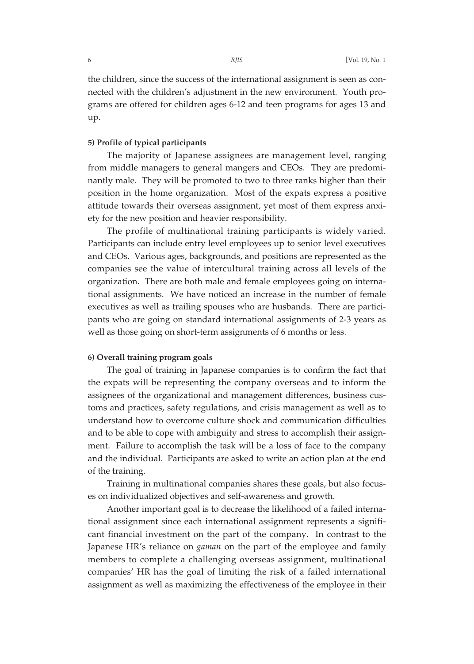the children, since the success of the international assignment is seen as connected with the children's adjustment in the new environment. Youth programs are offered for children ages 6-12 and teen programs for ages 13 and up.

## **5) Profile of typical participants**

The majority of Japanese assignees are management level, ranging from middle managers to general mangers and CEOs. They are predominantly male. They will be promoted to two to three ranks higher than their position in the home organization. Most of the expats express a positive attitude towards their overseas assignment, yet most of them express anxiety for the new position and heavier responsibility.

The profile of multinational training participants is widely varied. Participants can include entry level employees up to senior level executives and CEOs. Various ages, backgrounds, and positions are represented as the companies see the value of intercultural training across all levels of the organization. There are both male and female employees going on international assignments. We have noticed an increase in the number of female executives as well as trailing spouses who are husbands. There are participants who are going on standard international assignments of 2-3 years as well as those going on short-term assignments of 6 months or less.

## **6) Overall training program goals**

The goal of training in Japanese companies is to confirm the fact that the expats will be representing the company overseas and to inform the assignees of the organizational and management differences, business customs and practices, safety regulations, and crisis management as well as to understand how to overcome culture shock and communication difficulties and to be able to cope with ambiguity and stress to accomplish their assignment. Failure to accomplish the task will be a loss of face to the company and the individual. Participants are asked to write an action plan at the end of the training.

Training in multinational companies shares these goals, but also focuses on individualized objectives and self-awareness and growth.

Another important goal is to decrease the likelihood of a failed international assignment since each international assignment represents a significant financial investment on the part of the company. In contrast to the Japanese HR's reliance on *gaman* on the part of the employee and family members to complete a challenging overseas assignment, multinational companies' HR has the goal of limiting the risk of a failed international assignment as well as maximizing the effectiveness of the employee in their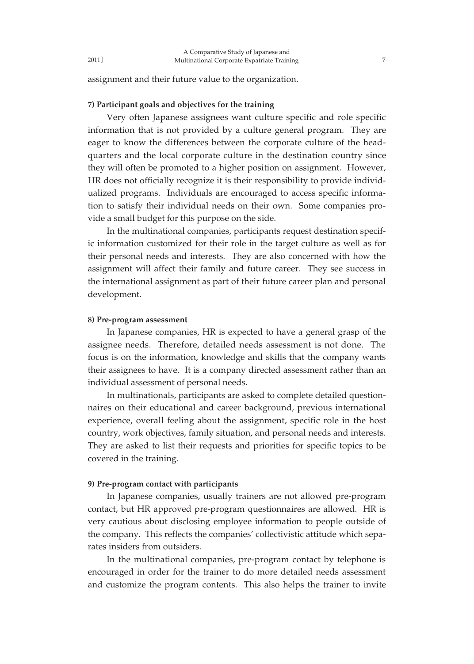assignment and their future value to the organization.

### **7) Participant goals and objectives for the training**

Very often Japanese assignees want culture specific and role specific information that is not provided by a culture general program. They are eager to know the differences between the corporate culture of the headquarters and the local corporate culture in the destination country since they will often be promoted to a higher position on assignment. However, HR does not officially recognize it is their responsibility to provide individualized programs. Individuals are encouraged to access specific information to satisfy their individual needs on their own. Some companies provide a small budget for this purpose on the side.

In the multinational companies, participants request destination specific information customized for their role in the target culture as well as for their personal needs and interests. They are also concerned with how the assignment will affect their family and future career. They see success in the international assignment as part of their future career plan and personal development.

#### **8) Pre-program assessment**

2011]

In Japanese companies, HR is expected to have a general grasp of the assignee needs. Therefore, detailed needs assessment is not done. The focus is on the information, knowledge and skills that the company wants their assignees to have. It is a company directed assessment rather than an individual assessment of personal needs.

In multinationals, participants are asked to complete detailed questionnaires on their educational and career background, previous international experience, overall feeling about the assignment, specific role in the host country, work objectives, family situation, and personal needs and interests. They are asked to list their requests and priorities for specific topics to be covered in the training.

#### **9) Pre-program contact with participants**

In Japanese companies, usually trainers are not allowed pre-program contact, but HR approved pre-program questionnaires are allowed. HR is very cautious about disclosing employee information to people outside of the company. This reflects the companies' collectivistic attitude which separates insiders from outsiders.

In the multinational companies, pre-program contact by telephone is encouraged in order for the trainer to do more detailed needs assessment and customize the program contents. This also helps the trainer to invite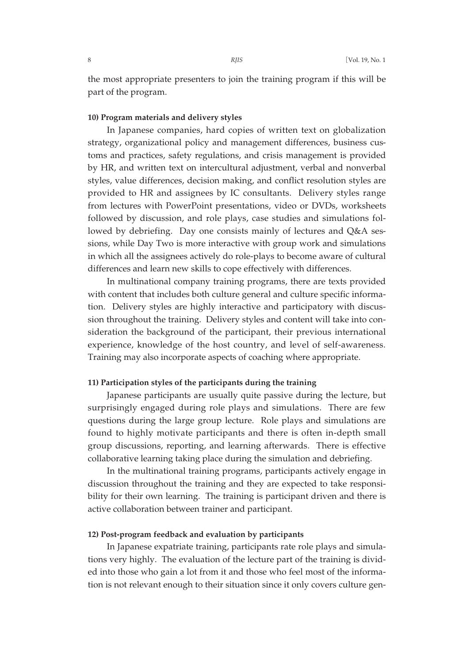the most appropriate presenters to join the training program if this will be part of the program.

#### **10) Program materials and delivery styles**

In Japanese companies, hard copies of written text on globalization strategy, organizational policy and management differences, business customs and practices, safety regulations, and crisis management is provided by HR, and written text on intercultural adjustment, verbal and nonverbal styles, value differences, decision making, and conflict resolution styles are provided to HR and assignees by IC consultants. Delivery styles range from lectures with PowerPoint presentations, video or DVDs, worksheets followed by discussion, and role plays, case studies and simulations followed by debriefing. Day one consists mainly of lectures and Q&A sessions, while Day Two is more interactive with group work and simulations in which all the assignees actively do role-plays to become aware of cultural differences and learn new skills to cope effectively with differences.

In multinational company training programs, there are texts provided with content that includes both culture general and culture specific information. Delivery styles are highly interactive and participatory with discussion throughout the training. Delivery styles and content will take into consideration the background of the participant, their previous international experience, knowledge of the host country, and level of self-awareness. Training may also incorporate aspects of coaching where appropriate.

## **11) Participation styles of the participants during the training**

Japanese participants are usually quite passive during the lecture, but surprisingly engaged during role plays and simulations. There are few questions during the large group lecture. Role plays and simulations are found to highly motivate participants and there is often in-depth small group discussions, reporting, and learning afterwards. There is effective collaborative learning taking place during the simulation and debriefing.

In the multinational training programs, participants actively engage in discussion throughout the training and they are expected to take responsibility for their own learning. The training is participant driven and there is active collaboration between trainer and participant.

## **12) Post-program feedback and evaluation by participants**

In Japanese expatriate training, participants rate role plays and simulations very highly. The evaluation of the lecture part of the training is divided into those who gain a lot from it and those who feel most of the information is not relevant enough to their situation since it only covers culture gen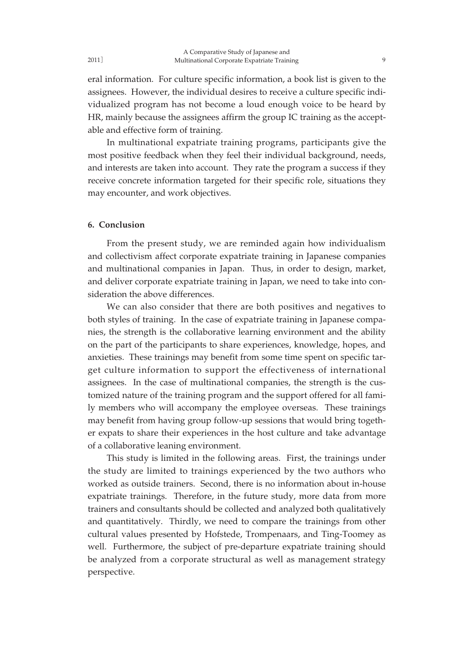eral information. For culture specific information, a book list is given to the assignees. However, the individual desires to receive a culture specific individualized program has not become a loud enough voice to be heard by HR, mainly because the assignees affirm the group IC training as the accept-

In multinational expatriate training programs, participants give the most positive feedback when they feel their individual background, needs, and interests are taken into account. They rate the program a success if they receive concrete information targeted for their specific role, situations they may encounter, and work objectives.

#### **6. Conclusion**

able and effective form of training.

From the present study, we are reminded again how individualism and collectivism affect corporate expatriate training in Japanese companies and multinational companies in Japan. Thus, in order to design, market, and deliver corporate expatriate training in Japan, we need to take into consideration the above differences.

We can also consider that there are both positives and negatives to both styles of training. In the case of expatriate training in Japanese companies, the strength is the collaborative learning environment and the ability on the part of the participants to share experiences, knowledge, hopes, and anxieties. These trainings may benefit from some time spent on specific target culture information to support the effectiveness of international assignees. In the case of multinational companies, the strength is the customized nature of the training program and the support offered for all family members who will accompany the employee overseas. These trainings may benefit from having group follow-up sessions that would bring together expats to share their experiences in the host culture and take advantage of a collaborative leaning environment.

This study is limited in the following areas. First, the trainings under the study are limited to trainings experienced by the two authors who worked as outside trainers. Second, there is no information about in-house expatriate trainings. Therefore, in the future study, more data from more trainers and consultants should be collected and analyzed both qualitatively and quantitatively. Thirdly, we need to compare the trainings from other cultural values presented by Hofstede, Trompenaars, and Ting-Toomey as well. Furthermore, the subject of pre-departure expatriate training should be analyzed from a corporate structural as well as management strategy perspective.